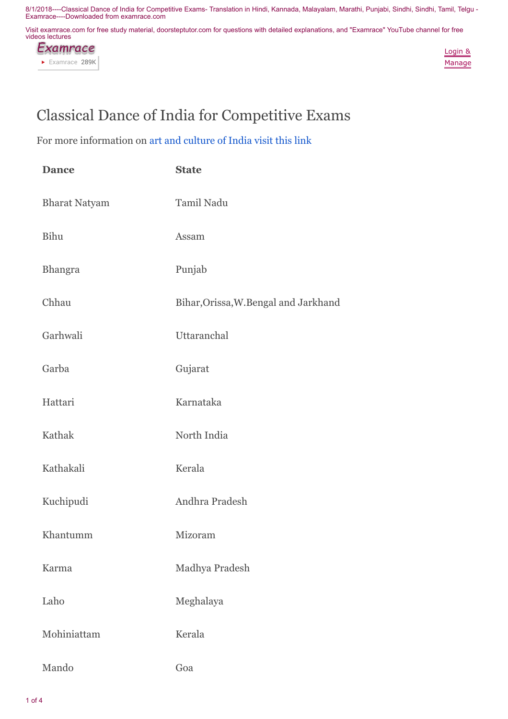Visit examrace.com for free study material, doorsteptutor.com for questions with detailed explanations, and "Examrace" YouTube channel for free videos lectures



Login & Manage

## Classical Dance of India for Competitive Exams

For more information on [art and culture of India visit this link](https://www.youtube.com/playlist?list=PLW9kB_HKs3_O8kGPeSLoRtmYO0eBflfFG)

| <b>Dance</b>         | <b>State</b>                          |
|----------------------|---------------------------------------|
| <b>Bharat Natyam</b> | Tamil Nadu                            |
| <b>Bihu</b>          | Assam                                 |
| <b>Bhangra</b>       | Punjab                                |
| Chhau                | Bihar, Orissa, W. Bengal and Jarkhand |
| Garhwali             | Uttaranchal                           |
| Garba                | Gujarat                               |
| Hattari              | Karnataka                             |
| Kathak               | North India                           |
| Kathakali            | Kerala                                |
| Kuchipudi            | Andhra Pradesh                        |
| Khantumm             | Mizoram                               |
| Karma                | Madhya Pradesh                        |
| Laho                 | Meghalaya                             |
| Mohiniattam          | Kerala                                |
| Mando                | Goa                                   |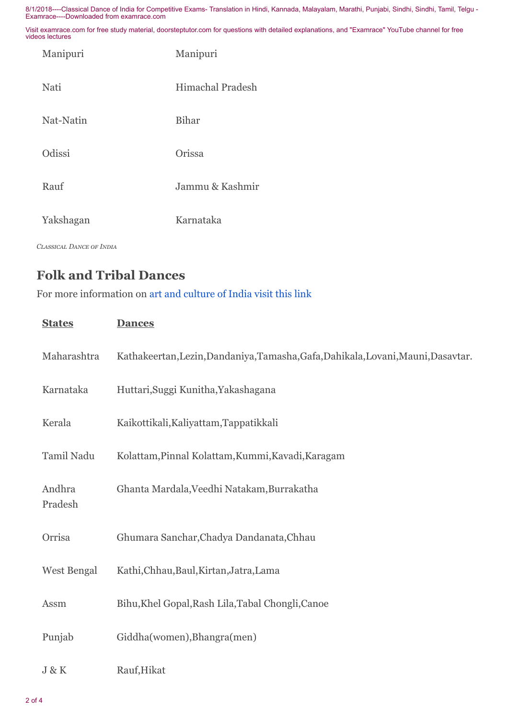Visit examrace.com for free study material, doorsteptutor.com for questions with detailed explanations, and "Examrace" YouTube channel for free videos lectures

| Manipuri  | Manipuri                |
|-----------|-------------------------|
| Nati      | <b>Himachal Pradesh</b> |
| Nat-Natin | <b>Bihar</b>            |
| Odissi    | Orissa                  |
| Rauf      | Jammu & Kashmir         |
| Yakshagan | Karnataka               |

*CLASSICAL DANCE OF INDIA* 

## Folk and Tribal Dances

For more information on [art and culture of India visit this link](https://www.youtube.com/playlist?list=PLW9kB_HKs3_O8kGPeSLoRtmYO0eBflfFG)

| <b>States</b>      | <b>Dances</b>                                                                     |
|--------------------|-----------------------------------------------------------------------------------|
| Maharashtra        | Kathakeertan, Lezin, Dandaniya, Tamasha, Gafa, Dahikala, Lovani, Mauni, Dasavtar. |
| Karnataka          | Huttari, Suggi Kunitha, Yakashagana                                               |
| Kerala             | Kaikottikali, Kaliyattam, Tappatikkali                                            |
| Tamil Nadu         | Kolattam, Pinnal Kolattam, Kummi, Kavadi, Karagam                                 |
| Andhra<br>Pradesh  | Ghanta Mardala, Veedhi Natakam, Burrakatha                                        |
| Orrisa             | Ghumara Sanchar, Chadya Dandanata, Chhau                                          |
| <b>West Bengal</b> | Kathi, Chhau, Baul, Kirtan, Jatra, Lama                                           |
| Assm               | Bihu, Khel Gopal, Rash Lila, Tabal Chongli, Canoe                                 |
| Punjab             | Giddha(women), Bhangra(men)                                                       |
| J & K              | Rauf, Hikat                                                                       |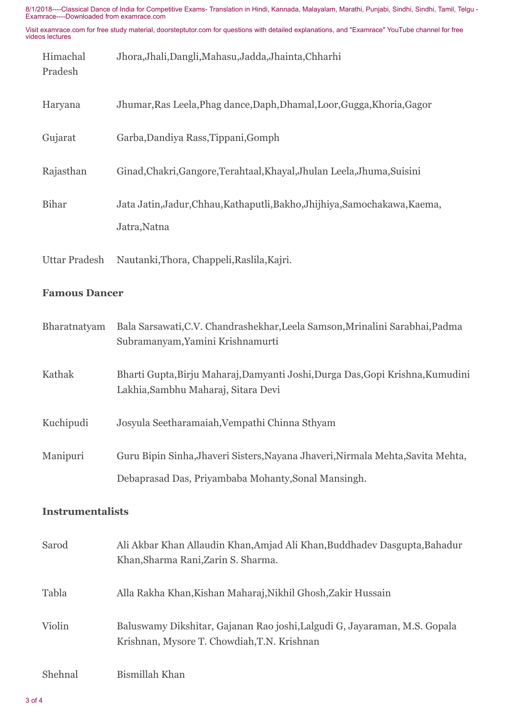Visit examrace.com for free study material, doorsteptutor.com for questions with detailed explanations, and "Examrace" YouTube channel for free videos lectures

| Himachal<br>Pradesh | Jhora, Jhali, Dangli, Mahasu, Jadda, Jhainta, Chharhi                      |
|---------------------|----------------------------------------------------------------------------|
| Haryana             | Jhumar, Ras Leela, Phag dance, Daph, Dhamal, Loor, Gugga, Khoria, Gagor    |
| Gujarat             | Garba, Dandiya Rass, Tippani, Gomph                                        |
| Rajasthan           | Ginad, Chakri, Gangore, Terahtaal, Khayal, Jhulan Leela, Jhuma, Suisini    |
| <b>Bihar</b>        | Jata Jatin, Jadur, Chhau, Kathaputli, Bakho, Jhijhiya, Samochakawa, Kaema, |
|                     | Jatra, Natna                                                               |

## Famous Dancer

Uttar Pradesh Nautanki,Thora, Chappeli,Raslila,Kajri.

| Bharatnatyam | Bala Sarsawati, C.V. Chandrashekhar, Leela Samson, Mrinalini Sarabhai, Padma<br>Subramanyam, Yamini Krishnamurti      |
|--------------|-----------------------------------------------------------------------------------------------------------------------|
| Kathak       | Bharti Gupta, Birju Maharaj, Damyanti Joshi, Durga Das, Gopi Krishna, Kumudini<br>Lakhia, Sambhu Maharaj, Sitara Devi |
| Kuchipudi    | Josyula Seetharamaiah, Vempathi Chinna Sthyam                                                                         |
| Manipuri     | Guru Bipin Sinha, Jhaveri Sisters, Nayana Jhaveri, Nirmala Mehta, Savita Mehta,                                       |
|              | Debaprasad Das, Priyambaba Mohanty, Sonal Mansingh.                                                                   |

## Instrumentalists

| Sarod   | Ali Akbar Khan Allaudin Khan, Amjad Ali Khan, Buddhadev Dasgupta, Bahadur<br>Khan, Sharma Rani, Zarin S. Sharma.         |
|---------|--------------------------------------------------------------------------------------------------------------------------|
| Tabla   | Alla Rakha Khan, Kishan Maharaj, Nikhil Ghosh, Zakir Hussain                                                             |
| Violin  | Baluswamy Dikshitar, Gajanan Rao joshi, Lalgudi G, Jayaraman, M.S. Gopala<br>Krishnan, Mysore T. Chowdiah, T.N. Krishnan |
| Shehnal | Bismillah Khan                                                                                                           |